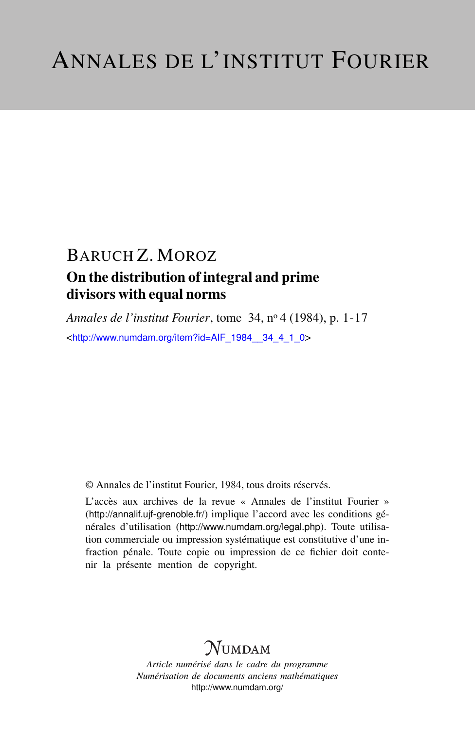## BARUCH Z. MOROZ On the distribution of integral and prime divisors with equal norms

*Annales de l'institut Fourier*, tome 34, n<sup>o</sup> 4 (1984), p. 1-17 <[http://www.numdam.org/item?id=AIF\\_1984\\_\\_34\\_4\\_1\\_0](http://www.numdam.org/item?id=AIF_1984__34_4_1_0)>

© Annales de l'institut Fourier, 1984, tous droits réservés.

L'accès aux archives de la revue « Annales de l'institut Fourier » (<http://annalif.ujf-grenoble.fr/>) implique l'accord avec les conditions générales d'utilisation (<http://www.numdam.org/legal.php>). Toute utilisation commerciale ou impression systématique est constitutive d'une infraction pénale. Toute copie ou impression de ce fichier doit contenir la présente mention de copyright.

# **NUMDAM**

*Article numérisé dans le cadre du programme Numérisation de documents anciens mathématiques* <http://www.numdam.org/>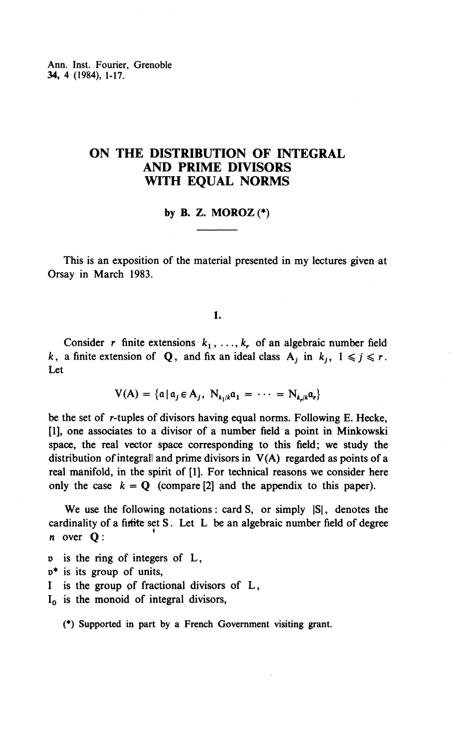Ann. Inst. Fourier, Grenoble **34,** 4 (1984), 1-17.

## **ON THE DISTRIBUTION OF INTEGRAL AND PRIME DIVISORS WITH EQUAL NORMS**

## **by B. Z. MOROZ** (\*)

This is an exposition of the material presented in my lectures given at Orsay in March 1983.

**1.**

Consider r finite extensions  $k_1, \ldots, k_r$  of an algebraic number field *k*, a finite extension of Q, and fix an ideal class  $A_j$  in  $k_j$ ,  $1 \le j \le r$ . Let

 $V(A) = \{ \mathfrak{a} \mid \mathfrak{a}_i \in A_i, N_{k_1/k} \mathfrak{a}_1 = \cdots = N_{k_k/k} \mathfrak{a}_r \}$ 

be the set of r-tuples of divisors having equal norms. Following E. Hecke, [I], one associates to a divisor of a number field a point in Minkowski space, the real vector space corresponding to this field; we study the distribution of integrall and prime divisors in  $V(A)$  regarded as points of a real manifold, in the spirit of [1]. For technical reasons we consider here only the case  $k = Q$  (compare [2] and the appendix to this paper).

We use the following notations: card S, or simply  $|S|$ , denotes the cardinality of a firfite set S. Let L be an algebraic number field of degree n over Q:

- p is the ring of integers of L,
- o\* is its group of units,
- I is the group of fractional divisors of L,

 $I_0$  is the monoid of integral divisors,

(\*) Supported in part by a French Government visiting grant.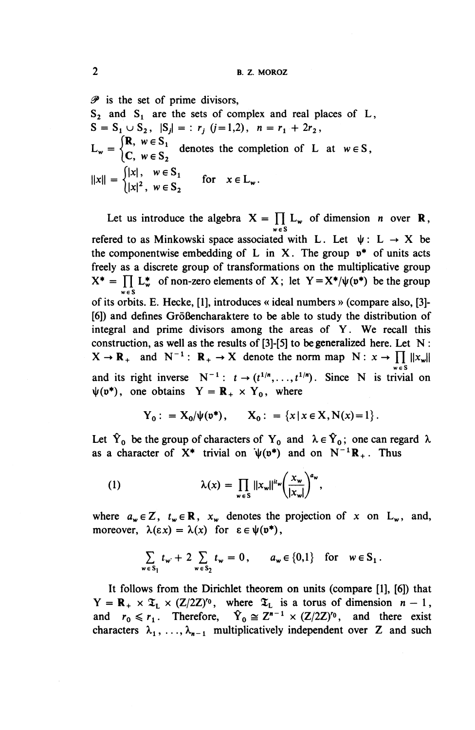**^ is the set of prime divisors,**

**83 and Si are the sets of complex and real places of L,**  $S=S_1\cup S_2$ ,  $|S_j| =: r_j (j=1,2)$ ,  $n=r_1+2r_2$ ,  $L_w = \begin{cases} R, & w \in S_1 \\ C, & w \in S_2 \end{cases}$  denotes the completion of L at  $w \in S$ ,  $||x|| = \begin{cases} |x|, & w \in S_1 \\ |x|^2, & w \in S, \end{cases}$  for  $x \in L_w$ .

Let us introduce the algebra  $X = \prod_{w \in S} L_w$  of dimension *n* over **R**, refered to as Minkowski space associated with L. Let  $\psi: L \rightarrow X$  be the componentwise embedding of L in X. The group  $v^*$  of units acts freely as a discrete group of transformations on the multiplicative group  $X^* = \prod L_w^*$  of non-zero elements of X; let  $Y = X^* / \psi(v^*)$  be the group *weS* of its orbits. E. Hecke, [l], introduces « ideal numbers » (compare also, [3]- [6]) and defines Größencharaktere to be able to study the distribution of integral and prime divisors among the areas of Y. We recall this construction, as well as the results of [3]-[5] to be generalized here. Let N :  $X \to \mathbf{R}_{+}$  and  $N^{-1}$ :  $\mathbf{R}_{+} \to X$  denote the norm map  $N: x \to \prod |x_{w}|$ and its right inverse  $N^{-1}: t \rightarrow (t^{1/n}, \ldots, t^{1/n})$ . Since N is trivial on  $\psi(\mathfrak{v}^*),$  one obtains  $Y = \mathbf{R}_+ \times Y_0$ , where

$$
Y_0
$$
: =  $X_0/\psi(\mathfrak{v}^*),$   $X_0$ : = { $x \mid x \in X, N(x) = 1$  }.

Let  $\hat{Y}_0$  be the group of characters of  $Y_0$  and  $\lambda \in \hat{Y}_0$ ; one can regard X. as a character of  $X^*$  trivial on  $\psi(v^*)$  and on  $N^{-1}\mathbb{R}_+$ . Thus

(1) 
$$
\lambda(x) = \prod_{w \in S} ||x_w||^{u_w} \left(\frac{x_w}{|x_w|}\right)^{a_w},
$$

where  $a_w \in \mathbb{Z}$ ,  $t_w \in \mathbb{R}$ ,  $x_w$  denotes the projection of x on L<sub>w</sub>, and, moreover,  $\lambda(\epsilon x) = \lambda(x)$  for  $\epsilon \in \psi(\mathfrak{v}^*),$ 

$$
\sum_{w \in S_1} t_w + 2 \sum_{w \in S_2} t_w = 0, \qquad a_w \in \{0,1\} \quad \text{for} \quad w \in S_1.
$$

It follows from the Dirichlet theorem on units (compare [l], [6]) that  $Y = \mathbf{R}_{+} \times \mathfrak{T}_{L} \times (Z/2Z)^{r_0}$ , where  $\mathfrak{T}_{L}$  is a torus of dimension  $n - 1$ , and  $r_0 \le r_1$ . Therefore,  $\hat{Y}_0 \cong Z^{n-1} \times (Z/2Z)^{r_0}$ , and there exist characters  $\lambda_1, \ldots, \lambda_{n-1}$  multiplicatively independent over Z and such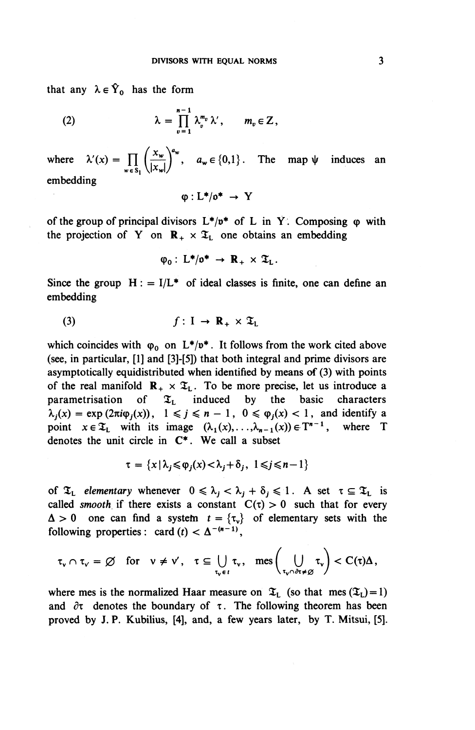that any  $\lambda \in \hat{Y}_0$  has the form

(2) 
$$
\lambda = \prod_{v=1}^{n-1} \lambda_v^{m_v} \lambda', \qquad m_v \in \mathbb{Z},
$$

where  $\lambda'(x) = \prod_{w \in S} \left( \frac{x_w}{|x_w|} \right)^{a_w}, \quad a_w \in \{0,1\}.$  The map  $\psi$  induces an  $\frac{1}{\sqrt{2}}$   $\frac{1}{\sqrt{2}}$ embedding

$$
\phi: L^*/\mathfrak{o}^* \to Y
$$

of the group of principal divisors  $L^*/p^*$  of L in Y. Composing  $\varphi$  with the projection of Y on  $\mathbb{R}_+ \times \mathfrak{T}_1$  one obtains an embedding

$$
\varphi_0: L^*/\mathfrak{0}^* \to \mathbb{R}_+ \times \mathfrak{T}_L.
$$

Since the group  $H: = I/L^*$  of ideal classes is finite, one can define an embedding

$$
(3) \t\t f: I \to \mathbf{R}_{+} \times \mathfrak{T}_{L}
$$

which coincides with  $\varphi_0$  on  $L^*/v^*$ . It follows from the work cited above (see, in particular, [1] and [3]-[5]) that both integral and prime divisors are asymptotically equidistributed when identified by means of (3) with points of the real manifold  $\mathbf{R}_{+} \times \mathfrak{T}_{L}$ . To be more precise, let us introduce a parametrisation of  $\mathfrak{T}_L$  induced by the basic characters  $\lambda_i(x) = \exp(2\pi i \varphi_i(x))$ ,  $1 \leq j \leq n-1$ ,  $0 \leq \varphi_i(x) < 1$ , and identify a point  $x \in \mathfrak{T}_L$  with its image  $(\lambda_1(x),...,\lambda_{n-1}(x)) \in T^{n-1}$ , where T denotes the unit circle in **C\*.** We call a subset

$$
\tau = \{x \mid \lambda_j \leq \varphi_j(x) < \lambda_j + \delta_j, \ 1 \leq j \leq n - 1\}
$$

of  $\mathfrak{T}_L$  elementary whenever  $0 \leq \lambda_j < \lambda_j + \delta_j \leq 1$ . A set  $\tau \subseteq \mathfrak{T}_L$  is called *smooth* if there exists a constant  $C(\tau) > 0$  such that for every  $\Delta > 0$  one can find a system  $t = \{\tau_v\}$  of elementary sets with the following properties: card  $(t) < \Delta^{-(n-1)}$ .

$$
\tau_v \cap \tau_v \,=\, \varnothing \quad \text{for} \quad v \,\neq\, v' \,, \quad \tau \,\subseteq\, \bigcup_{\tau_v \,\in\, t} \tau_v \,, \quad \text{mes} \left( \bigcup_{\tau_v \cap \partial \tau \,\neq\, \varnothing} \tau_v \right) \,<\, C(\tau)\Delta \,,
$$

where mes is the normalized Haar measure on  $\mathfrak{T}_L$  (so that mes  $(\mathfrak{T}_L)=1$ ) and  $\partial \tau$  denotes the boundary of  $\tau$ . The following theorem has been proved by J. P. Kubilius, [4], and, a few years later, by T. Mitsui, [5].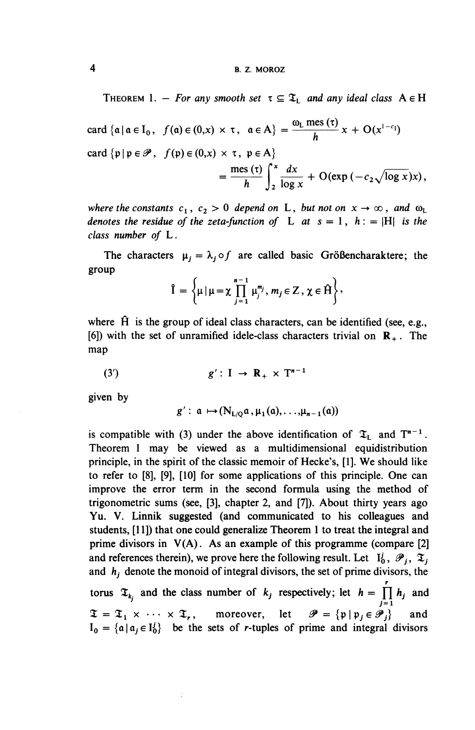THEOREM 1. – *For any smooth set*  $\tau \subseteq \mathfrak{T}_L$  *and any ideal class*  $A \in H$ 

$$
\begin{aligned}\n\text{card } \{ \mathfrak{a} \mid \mathfrak{a} \in I_0, \ f(\mathfrak{a}) \in (0, x) \times \tau, \ \mathfrak{a} \in A \} &= \frac{\omega_L \operatorname{mes} (\tau)}{h} x + \mathcal{O}(x^{1-c_1}) \\
\text{card } \{ \mathfrak{p} \mid \mathfrak{p} \in \mathscr{P}, \ f(\mathfrak{p}) \in (0, x) \times \tau, \ \mathfrak{p} \in A \} \\
&= \frac{\operatorname{mes} (\tau)}{h} \int_2^x \frac{dx}{\log x} + \mathcal{O}(\exp(-c_2 \sqrt{\log x}) x),\n\end{aligned}
$$

*where the constants*  $c_1$ ,  $c_2 > 0$  *depend on* L, *but not on*  $x \to \infty$ *, and*  $\omega_L$ *denotes the residue of the zeta-function of* L at  $s = 1$ ,  $h := |H|$  is the *class number of* L.

The characters  $\mu_i = \lambda_i \circ f$  are called basic Größencharaktere; the group

$$
\hat{I} = \left\{ \mu \, | \, \mu = \chi \prod_{j=1}^{n-1} \mu_j^{m_j}, \, m_j \in \mathbb{Z}, \, \chi \in \hat{H} \right\},
$$

where  $\hat{H}$  is the group of ideal class characters, can be identified (see, e.g., [6]) with the set of unramified idele-class characters trivial on  $\mathbf{R}_{+}$ . The map

$$
(3') \t\t\t g': I \to \mathbf{R}_{+} \times \mathbf{T}^{n-1}
$$

given by

$$
g': \mathfrak{a} \mapsto (N_{L/\mathbb{Q}}\mathfrak{a}, \mu_1(\mathfrak{a}), \ldots, \mu_{n-1}(\mathfrak{a}))
$$

is compatible with (3) under the above identification of  $\mathfrak{T}_L$  and  $T^{n-1}$ . Theorem 1 may be viewed as a multidimensional equidistribution principle, in the spirit of the classic memoir of Hecke's, [1]. We should like to refer to [8], [9], [10] for some applications of this principle. One can improve the error term in the second formula using the method of trigonometric sums (see, [3], chapter 2, and [7]). About thirty years ago Yu. V. Linnik suggested (and communicated to his colleagues and students, [11]) that one could generalize Theorem 1 to treat the integral and prime divisors in  $V(A)$ . As an example of this programme (compare [2] and references therein), we prove here the following result. Let  $I_0^i$ ,  $\mathcal{P}_i$ ,  $\mathfrak{T}_i$ and *hj* denote the monoid of integral divisors, the set of prime divisors, the torus  $\mathfrak{T}_{k_j}$  and the class number of  $k_j$  respectively; let  $h = \prod_{j=1}^r h_j$  and  $\mathfrak{T} = \mathfrak{T}_1 \times \cdots \times \mathfrak{T}_r$ , moreover, let  $\mathscr{P} = {\mathfrak{p} | \mathfrak{p}_j \in \mathscr{P}_j}$  and  $I_0 = \{a \mid a_j \in I_0^j\}$  be the sets of r-tuples of prime and integral divisors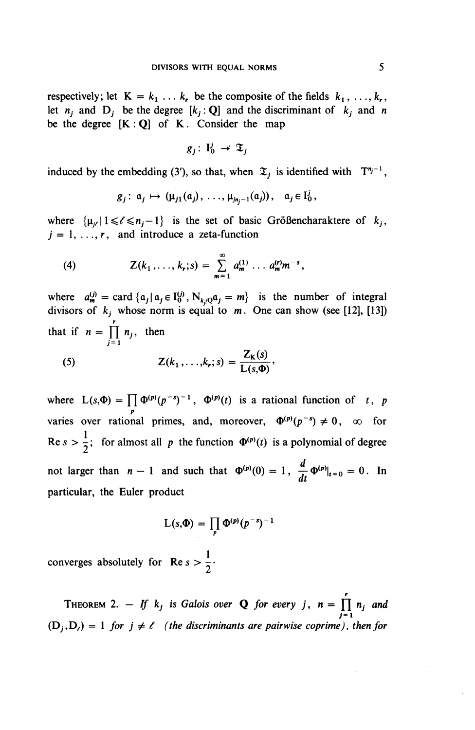respectively; let  $K = k_1 \ldots k_r$ , be the composite of the fields  $k_1, \ldots, k_r$ , let  $n_i$  and  $D_i$  be the degree  $[k_i : Q]$  and the discriminant of  $k_j$  and *n* be the degree  $[K: Q]$  of K. Consider the map

$$
g_j\colon\thinspace\mathrm{I}_0^j\,\to\,\mathfrak{T}_j
$$

induced by the embedding (3'), so that, when  $\mathfrak{T}_i$  is identified with  $T^{n_j-1}$ ,

$$
g_j: \mathfrak{a}_j \mapsto (\mu_{j1}(\mathfrak{a}_j), \ldots, \mu_{j\mathfrak{n}_j-1}(\mathfrak{a}_j)), \quad \mathfrak{a}_j \in I_0^j,
$$

where  $\{\mu_{i/} | 1 \leq \ell \leq n_j-1\}$  is the set of basic Größencharaktere of  $k_j$ ,  $j = 1, \ldots, r$ , and introduce a zeta-function

(4) 
$$
Z(k_1,\ldots,k_r;s)=\sum_{m=1}^{\infty} a_m^{(1)}\ldots a_m^{(r)}m^{-s},
$$

where  $a^{(j)}_m = \text{card} \{a_j | a_j \in I_0^{(j)}, N_{k/Q} a_j = m\}$  is the number of integral divisors of  $k_j$  whose norm is equal to  $m$ . One can show (see [12], [13]) that if  $n = \prod_{i=1}^{r} n_i$ , then  $j=1$ 

(5) 
$$
Z(k_1,\ldots,k_r;s)=\frac{Z_{\kappa}(s)}{L(s,\Phi)},
$$

where  $L(s, \Phi) = \prod_p \Phi^{(p)}(p^{-s})^{-1}$ ,  $\Phi^{(p)}(t)$  is a rational function of t, p<br>varies over rational primes, and, moreover,  $\Phi^{(p)}(p^{-s}) \neq 0$ ,  $\infty$  for Re  $s > \frac{1}{2}$ ; for almost all p the function  $\Phi^{(p)}(t)$  is a polynomial of degree not larger than  $n - 1$  and such that  $\Phi^{(p)}(0) = 1$ ,  $\frac{d}{dt} \Phi^{(p)}|_{t=0} = 0$ . In particular, the Euler product

$$
L(s,\Phi) = \prod_p \Phi^{(p)}(p^{-s})^{-1}
$$

converges absolutely for  $\text{Re } s > \frac{1}{2}$ .

**THEOREM** 2. – If  $k_i$  is Galois over **Q** for every j,  $n = \prod_{i=1}^{r} n_i$  and  $j=1$  $(D_i, D_i) = 1$  for  $j \neq \ell$  (the discriminants are pairwise coprime), then for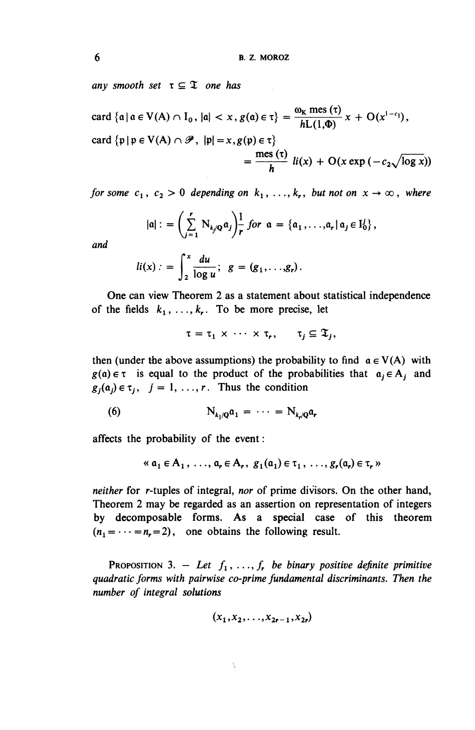any smooth set  $\tau \subseteq \mathfrak{T}$  one has

card  $\{a \mid a \in V(A) \cap I_0, |a| < x, g(a) \in \tau\} = \frac{\omega_K \operatorname{mes}(\tau)}{hL(1,\Phi)} x + O(x^{1-c_1}),$ card  $\{p | p \in V(A) \cap \mathscr{P}, |p| = x, g(p) \in \tau\}$  $=\frac{\text{mes}(\tau)}{h}$   $li(x) + O(x \exp(-c_2\sqrt{\log x}))$ 

*for some*  $c_1$ ,  $c_2 > 0$  depending on  $k_1$ , ...,  $k_r$ , but not on  $x \to \infty$ , where

$$
|\mathfrak{a}|: = \left(\sum_{j=1}^r N_{k_j/\mathbb{Q}}\mathfrak{a}_j\right)_r^1 \text{ for } \mathfrak{a} = \{\mathfrak{a}_1,\ldots,\mathfrak{a}_r \,|\, \mathfrak{a}_j \in I_0^1\},
$$

**and**

$$
li(x):=\int_2^x\frac{du}{\log u};\ \ g=(g_1,\ldots,g_r).
$$

**One** can view Theorem 2 as a statement about statistical independence of the fields  $k_1, \ldots, k_r$ . To be more precise, let

$$
\tau = \tau_1 \times \cdots \times \tau_r, \quad \tau_j \subseteq \mathfrak{T}_j,
$$

then (under the above assumptions) the probability to find  $\alpha \in V(A)$  with  $g(a) \in \tau$  is equal to the product of the probabilities that  $a_i \in A_i$  and  $g_i(a_i) \in \tau_i$ ,  $j = 1, ..., r$ . Thus the condition

(6) 
$$
N_{k_1/2}a_1 = \cdots = N_{k_r/2}a_r
$$

affects the probability of the event:

$$
\langle \alpha_1 \in A_1, \ldots, \alpha_r \in A_r, g_1(\alpha_1) \in \tau_1, \ldots, g_r(\alpha_r) \in \tau_r \rangle
$$

*neither* for r-tuples of integral, *nor* of prime divisors. On the other hand, Theorem 2 may be regarded as an assertion on representation of integers by decomposable forms. As a special case of this theorem  $(n_1 = \cdots = n_r = 2)$ , one obtains the following result.

PROPOSITION 3.  $-$  Let  $f_1, \ldots, f_r$  be binary positive definite primitive *quadratic/arms mth pairwise co-prime fundamental discriminants. Then the number of integral solutions*

$$
(x_1, x_2, \ldots, x_{2r-1}, x_{2r})
$$

N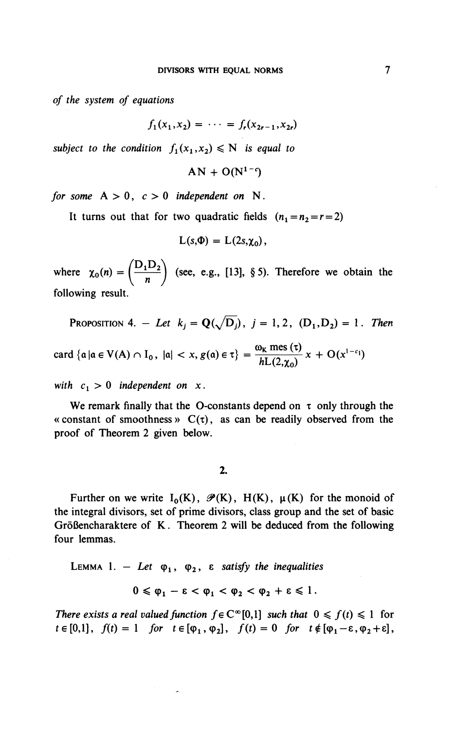*of the system of equations*

$$
f_1(x_1,x_2) = \cdots = f_r(x_{2r-1},x_{2r})
$$

*subject to the condition*  $f_1(x_1,x_2) \le N$  *is equal to* 

 $AN + O(N^{1-c})$ 

*for some*  $A > 0$ ,  $c > 0$  *independent on* N.

It turns out that for two quadratic fields  $(n_1=n_2=r=2)$ 

$$
L(s,\Phi) = L(2s,\chi_0),
$$

where  $\chi_0(n) = \left( \frac{D_1 D_2}{n} \right)$  (see, e.g., [13], §5). Therefore we obtain the  $\left(\frac{n}{\sqrt{n}}\right)$ following result.

PROPOSITION 4. -*Let*  $k_j = \mathbf{Q}(\sqrt{D_j})$ ,  $j = 1, 2$ ,  $(D_1, D_2) = 1$ . Then

card  $\{a \mid a \in V(A) \cap I_0, \ |a| < x, g(a) \in \tau\} = \frac{\omega_K \text{ mes }(\tau)}{hL(2,\chi_0)} x + O(x^{1-\epsilon_1})$ 

with  $c_1 > 0$  independent on x.

We remark finally that the O-constants depend on  $\tau$  only through the « constant of smoothness »  $C(\tau)$ , as can be readily observed from the proof of Theorem 2 given below.

2.

Further on we write  $I_0(K)$ ,  $\mathcal{P}(K)$ ,  $H(K)$ ,  $\mu(K)$  for the monoid of the integral divisors, set of prime divisors, class group and the set of basic Größencharaktere of K. Theorem 2 will be deduced from the following four lemmas.

LEMMA 1. - Let  $\varphi_1$ ,  $\varphi_2$ ,  $\varepsilon$  satisfy the inequalities

$$
0\leqslant \varphi_1-\epsilon<\varphi_1<\varphi_2<\varphi_2+\epsilon\leqslant 1.
$$

*There exists a real valued function*  $f \in C^{\infty}[0,1]$  *such that*  $0 \leq f(t) \leq 1$  for  $t \in [0,1],$   $f(t) = 1$  for  $t \in [\varphi_1, \varphi_2],$   $f(t) = 0$  for  $t \notin [\varphi_1-\varepsilon, \varphi_2+\varepsilon],$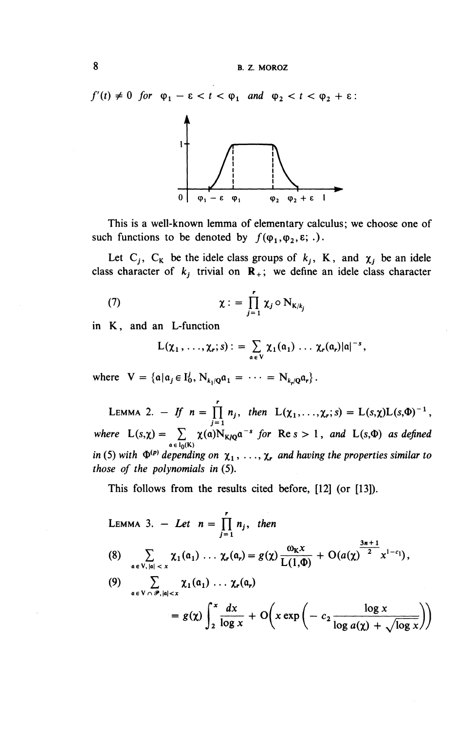$f'(t) \neq 0$  for  $\varphi_1 - \varepsilon < t < \varphi_1$  and  $\varphi_2 < t < \varphi_2 + \varepsilon$ :



This is a well-known lemma of elementary calculus; we choose one of such functions to be denoted by  $f(\varphi_1,\varphi_2,\varepsilon; .)$ .

Let C<sub>i</sub>, C<sub>K</sub> be the idele class groups of  $k_j$ , K, and  $\chi_j$  be an idele class character of  $k_i$  trivial on  $\mathbf{R}_+$ ; we define an idele class character

(7) 
$$
\chi := \prod_{j=1}^r \chi_j \circ N_{K/k_j}
$$

in K, and an L-function

$$
L(\chi_1,\ldots,\chi_r;s):=\sum_{\mathfrak{a}\in V}\chi_1(\mathfrak{a}_1)\,\ldots\,\chi_r(\mathfrak{a}_r)|\mathfrak{a}|^{-s},
$$

where  $V = \{a | a_j \in I_0^j, N_{k,j} a_1 = \cdots = N_{k,j} a_r\}.$ 

LEMMA 2. - *If*  $n = \prod_{i=1}^{r} n_i$ , then  $L(\chi_1, \ldots, \chi_r; s) = L(s, \chi)L(s, \Phi)^{-1}$ where  $L(s,\chi) = \sum_{\alpha \in I_0(K)} \chi(\alpha) N_{K/Q} \alpha^{-s}$  for Res > 1, and L(s, $\Phi$ ) *as define*<br>in (5) with  $\Phi^{(p)}$  depending on  $\chi_1, \ldots, \chi_r$  and having the properties similar too. *in* (5) with  $\Phi^{(p)}$  depending on  $\chi_1, \ldots, \chi_r$  and having the properties similar to those of the polynomials in (5).

This follows from the results cited before, [12] (or [13]).

LEMMA 3. - Let 
$$
n = \prod_{j=1}^{r} n_j
$$
, then  
\n(8) 
$$
\sum_{\alpha \in V, |\alpha| < x} \chi_1(\alpha_1) \cdots \chi_r(\alpha_r) = g(\chi) \frac{\omega_K x}{L(1, \Phi)} + O(a(\chi)^{\frac{3n+1}{2}} x^{1-c_1}),
$$
\n(9) 
$$
\sum_{\alpha \in V \cap \mathscr{P}, |\alpha| < x} \chi_1(\alpha_1) \cdots \chi_r(\alpha_r)
$$
\n
$$
= g(\chi) \int_2^x \frac{dx}{\log x} + O\left(x \exp\left(-c_2 \frac{\log x}{\log a(\chi) + \sqrt{\log x}}\right)\right)
$$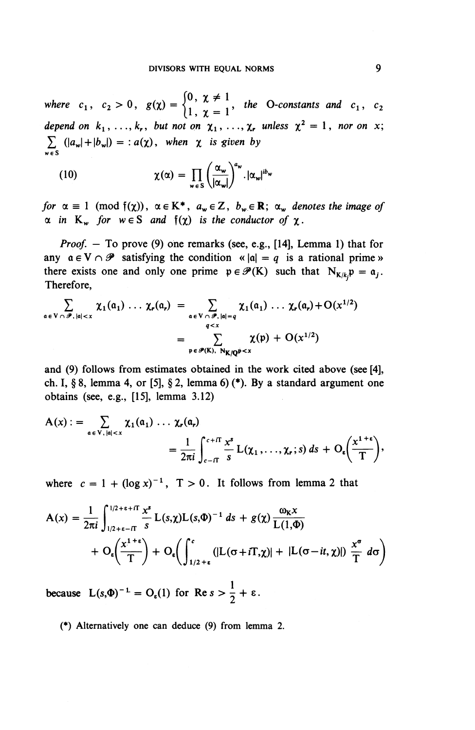where  $c_1$ ,  $c_2 > 0$ ,  $g(\chi) = \begin{cases} \n\sqrt{2} & \text{if } \chi \neq 1 \\ \n\sqrt{2} & \text{if } \chi = 1 \n\end{cases}$ , the O-constants and  $c_1$ ,  $c_2$ depend on  $k_1, \ldots, k_r$ , but not on  $\chi_1, \ldots, \chi_r$  unless  $\chi^2 = 1$ , nor on x;  $\sum_{w \in S} (|a_w| + |b_w|) = : a(\chi)$ , when  $\chi$  is given by

(10) 
$$
\chi(\alpha) = \prod_{w \in S} \left( \frac{\alpha_w}{|\alpha_w|} \right)^{a_w} . |\alpha_w|^{ib_w}
$$

for  $\alpha \equiv 1 \pmod{f(\chi)}$ ,  $\alpha \in K^*$ ,  $a_w \in Z$ ,  $b_w \in \mathbb{R}$ ;  $\alpha_w$  denotes the image of  $\alpha$  in K<sub>w</sub> for  $w \in S$  and  $f(\chi)$  is the conductor of  $\chi$ .

*Proof.*  $-$  To prove (9) one remarks (see, e.g., [14], Lemma 1) that for any  $a \in V \cap \mathscr{P}$  satisfying the condition «  $|a| = q$  is a rational prime » there exists one and only one prime  $p \in \mathcal{P}(K)$  such that  $N_{K/k}p = a_j$ . Therefore,

$$
\sum_{\mathfrak{a} \in V \cap \mathscr{P}, |\mathfrak{a}| < x} \chi_1(\mathfrak{a}_1) \ldots \chi_r(\mathfrak{a}_r) = \sum_{\mathfrak{a} \in V \cap \mathscr{P}, |\mathfrak{a}| = q} \chi_1(\mathfrak{a}_1) \ldots \chi_r(\mathfrak{a}_r) + O(x^{1/2})
$$
\n
$$
= \sum_{\mathfrak{p} \in \mathscr{P}(K), \ N_{K/\mathbb{Q}} \neq x} \chi(\mathfrak{p}) + O(x^{1/2})
$$

and (9) follows from estimates obtained in the work cited above (see [4], ch. I, § 8, lemma 4, or [5], § 2, lemma 6) (\*). By a standard argument one obtains (see, e.g., [15], lemma 3.12)

$$
A(x) := \sum_{\alpha \in V, |\alpha| < x} \chi_1(\alpha_1) \ldots \chi_r(\alpha_r)
$$
  
= 
$$
\frac{1}{2\pi i} \int_{c-\Pi}^{c+\Pi} \frac{x^s}{s} L(\chi_1, \ldots, \chi_r; s) ds + O_{\epsilon} \left( \frac{x^{1+\epsilon}}{T} \right),
$$

where  $c = 1 + (\log x)^{-1}$ ,  $T > 0$ . It follows from lemma 2 that

$$
A(x) = \frac{1}{2\pi i} \int_{1/2+\epsilon-\pi}^{1/2+\epsilon+\pi} \frac{x^s}{s} L(s,\chi)L(s,\Phi)^{-1} ds + g(\chi) \frac{\omega_K x}{L(1,\Phi)}
$$
  
+ 
$$
O_{\epsilon}\left(\frac{x^{1+\epsilon}}{T}\right) + O_{\epsilon}\left(\int_{1/2+\epsilon}^{c} (|L(\sigma+iT,\chi)| + |L(\sigma-it,\chi)|) \frac{x^{\sigma}}{T} d\sigma\right)
$$

because  $L(s,\Phi)^{-1} = O_{\varepsilon}(1)$  for  $\operatorname{Re} s > \frac{1}{2} + \varepsilon$ .

(\*) Alternatively one can deduce (9) from lemma 2.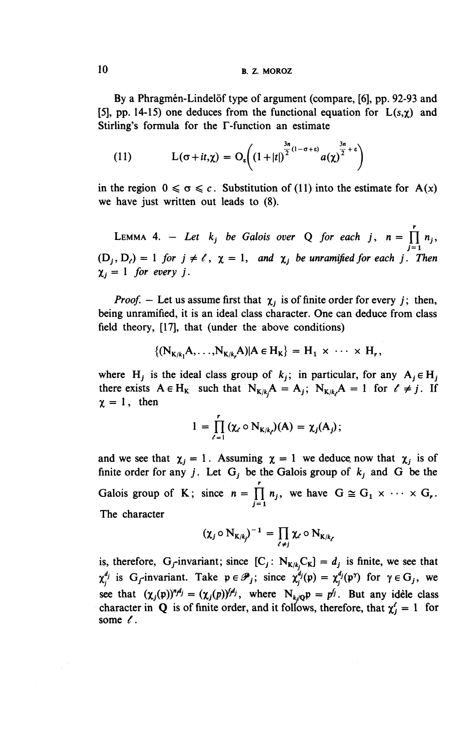10 **B. Z. MOROZ**

By a Phragmén-Lindelöf type of argument (compare, [6], pp. 92-93 and [5], pp. 14-15) one deduces from the functional equation for  $L(s, \chi)$  and Stirling's formula for the F-function an estimate

(11) 
$$
L(\sigma+it,\chi)=O_{\epsilon}\left((1+|t|)^{\frac{3n}{2}(1-\sigma+\epsilon)}a(\chi)^{\frac{3n}{2}+\epsilon}\right)
$$

in the region  $0 \le \sigma \le c$ . Substitution of (11) into the estimate for A(x) we have just written out leads to (8).

LEMMA 4. - Let  $k_j$  be Galois over Q for each j,  $n = \prod_i n_i$ ,  $(D_j, D_\ell) = 1$  for  $j \neq \ell$ ,  $\chi = 1$ , and  $\chi_j$  be unramified for each j. Then  $\chi_i = 1$  for every *j*.

*Proof.* - Let us assume first that  $\chi_i$  is of finite order for every *j*; then, being unramified, it is an ideal class character. One can deduce from class field theory, [17], that (under the above conditions)

$$
\{ (N_{K/k}, A, \ldots, N_{K/k}, A) | A \in H_K \} = H_1 \times \cdots \times H_r,
$$

where H<sub>i</sub> is the ideal class group of  $k_i$ ; in particular, for any  $A_i \in H_i$ . there exists  $A \in H_K$  such that  $N_{K/k}A = A_i$ ;  $N_{K/k}A = 1$  for  $\ell \neq j$ . If there exists  $A \in H_K$  such that  $N_{K/k}$ <br>  $\gamma = 1$ , then

$$
1 = \prod_{\ell=1}^r (\chi_{\ell} \circ N_{K/k_{\ell}})(A) = \chi_j(A_j);
$$

and we see that  $\chi_j = 1$ . Assuming  $\chi = 1$  we deduce, now that  $\chi_j$  is of finite order for any *j*. Let  $G_j$  be the Galois group of  $k_j$  and G be the Galois group of K; since  $n = \prod_{j=1}^{r} n_j$ , we have  $G \cong G_1 \times \cdots \times G_r$ The character

$$
(\chi_j\circ N_{K/k_j})^{-1}=\prod_{\ell\neq j}\chi_\ell\circ N_{K/k_\ell}
$$

is, therefore, G<sub>f</sub>-invariant; since  $[C_j: N_{K/k}C_K] = d_j$  is finite, we see that is, therefore,  $G_f$ -invariant; since  $[\mathbf{C}_j : \mathbf{N}_{\mathbf{K}/k_j} \mathbf{C}_{\mathbf{K}}] = a_j$  is finite, we see that  $\chi_i^{d_j}$  is  $G_f$ -invariant. Take  $\mathbf{p} \in \mathcal{P}_j$ ; since  $\chi_i^{d_j}(\mathbf{p}) = \chi_i^{d_j}(\mathbf{p}^r)$  for  $\gamma \in G_j$ , we see that  $(\chi_j(p))^{n_j d_j} = (\chi_j(p))^{j d_j}$ , where  $N_{k_j/Q}p = p^{f_j}$ . But any idele class character in Q is of finite order, and it follows, therefore, that  $\chi^2 = 1$  for some  $\ell$ .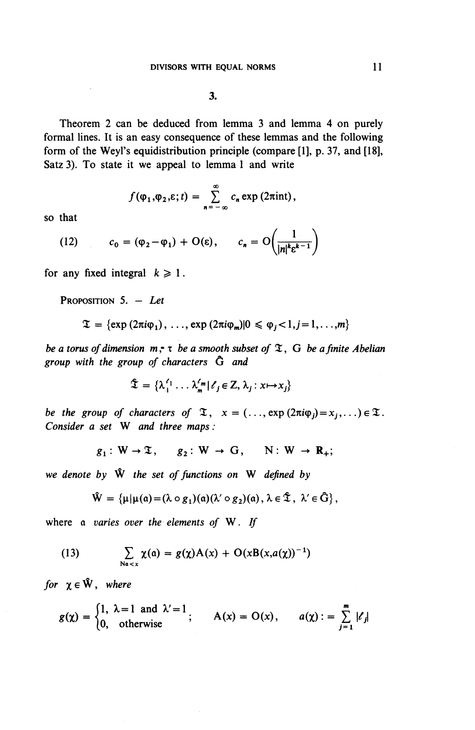Theorem 2 can be deduced from lemma 3 and lemma 4 on purely formal lines. It is an easy consequence of these lemmas and the following form of the Weyl's equidistribution principle (compare  $[1]$ , p. 37, and  $[18]$ , Satz 3). To state it we appeal to lemma 1 and write

$$
f(\varphi_1,\varphi_2,\varepsilon;t)=\sum_{n=-\infty}^{\infty}c_n\exp(2\pi\mathrm{int}),
$$

so that

(12) 
$$
c_0 = (\varphi_2 - \varphi_1) + O(\varepsilon), \qquad c_n = O\left(\frac{1}{|n|^k \varepsilon^{k-1}}\right)
$$

for any fixed integral  $k \ge 1$ .

PROPOSITION 5. — *Let*

$$
\mathfrak{T} = \{\exp(2\pi i \varphi_1), \ldots, \exp(2\pi i \varphi_m)|0 \leq \varphi_j < 1, j = 1, \ldots, m\}
$$

*be a torus of dimension* w,- T *be a smooth subset of* I, G *be a finite Abelian group with the group of characters Q and*

$$
\mathfrak{T} = \{ \lambda_1^{\ell_1} \dots \lambda_m^{\ell_m} | \ell_j \in \mathbb{Z}, \lambda_j : x \mapsto x_j \}
$$

*be the group of characters of*  $\mathfrak{T}$ ,  $x = (..., \exp(2\pi i \varphi_i) = x_i,...) \in \mathfrak{T}$ . *Consider a set* **W** and three maps:

$$
g_1: W \to \mathfrak{T}, \quad g_2: W \to G, \quad N: W \to \mathbb{R}_+;
$$

*we denote by* W th^ *set of functions on* W *defined by*

$$
\hat W = \left\{ \mu | \mu(\mathfrak{a}) \!=\! (\lambda \circ g_1)(\mathfrak{a}) (\lambda' \circ g_2)(\mathfrak{a}) \,,\, \lambda \in \hat {\mathfrak T} \,,\, \, \lambda' \in \hat G \right\},
$$

where a *varies over the elements of* W. *If*

(13) 
$$
\sum_{\text{Na} < x} \chi(a) = g(\chi)A(x) + O(xB(x,a(\chi))^{-1})
$$

*for*  $\chi \in \hat{W}$ , where

$$
g(\chi) = \begin{cases} 1, & \lambda = 1 \text{ and } \lambda' = 1 \\ 0, & \text{otherwise} \end{cases}; \qquad A(\chi) = O(\chi), \qquad a(\chi) := \sum_{j=1}^{m} |\ell_j|
$$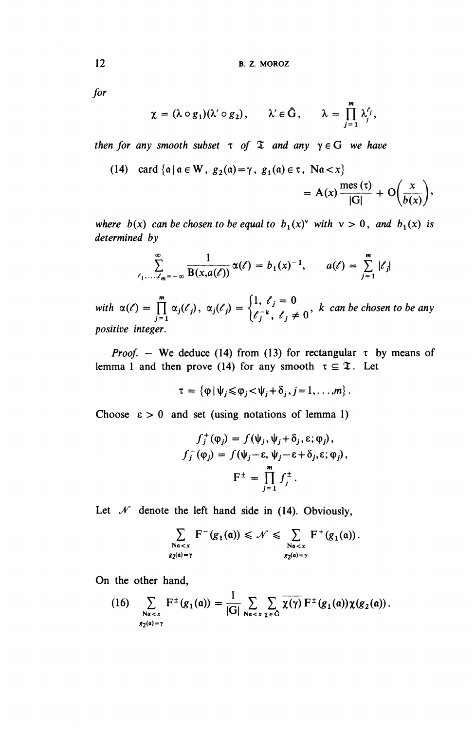for

$$
\chi = (\lambda \circ g_1)(\lambda' \circ g_2), \qquad \lambda' \in \hat{G}, \qquad \lambda = \prod_{j=1}^m \lambda_j',
$$

*then for any smooth subset x of X and any*  $\gamma \in G$  *we have* 

(14) card {
$$
a \mid a \in W
$$
,  $g_2(a) = \gamma$ ,  $g_1(a) \in \tau$ ,  $Na < x$ }  
=  $A(x) \frac{\text{mes } (\tau)}{|G|} + O\left(\frac{x}{b(x)}\right)$ ,

*where b(x) can be chosen to be equal to b<sub>1</sub>(x)<sup><i>v*</sup> with  $v > 0$ *, and*  $b_1(x)$  *is determined by*

$$
\sum_{\ell_1,\ldots,\ell_m=-\infty}^{\infty}\frac{1}{B(x,a(\ell))}\alpha(\ell)=b_1(x)^{-1}, \qquad a(\ell)=\sum_{j=1}^m |\ell_j|
$$

 $\alpha(\ell) = \prod_{j=1}^{m} \alpha_j(\ell_j), \ \alpha_j(\ell_j) = \begin{cases} 1, & \ell_j = 0 \\ \ell_j^{-k}, & \ell_j \neq 0 \end{cases}$ , k can be chosen to be any *positive integer.*

*Proof.* – We deduce (14) from (13) for rectangular  $\tau$  by means of lemma 1 and then prove (14) for any smooth  $\tau \subseteq \mathfrak{T}$ . Let

$$
\tau = \left\{ \varphi \, | \, \psi_j \leqslant \varphi_j < \psi_j + \delta_j, j = 1, \ldots, m \right\}.
$$

Choose  $\epsilon > 0$  and set (using notations of lemma 1)

$$
f_j^+(\varphi_j) = f(\psi_j, \psi_j + \delta_j, \varepsilon; \varphi_j),
$$
  

$$
f_j^-(\varphi_j) = f(\psi_j - \varepsilon, \psi_j - \varepsilon + \delta_j, \varepsilon; \varphi_j),
$$
  

$$
F^{\pm} = \prod_{j=1}^m f_j^{\pm}.
$$

Let  $\mathcal N$  denote the left hand side in (14). Obviously,

$$
\sum_{\substack{\text{Na}
$$

**On the other hand,**

(16) 
$$
\sum_{\substack{Na < x \\ g_2(a) = \gamma}} F^{\pm}(g_1(a)) = \frac{1}{|G|} \sum_{Na < x} \sum_{\chi \in G} \overline{\chi(\gamma)} F^{\pm}(g_1(a)) \chi(g_2(a)).
$$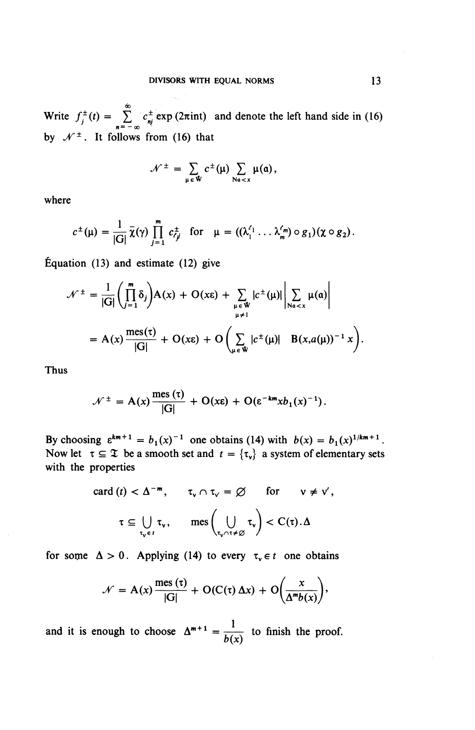Write  $f_j^{\pm}(t) = \sum_{n=-\infty}^{\infty} c_{nj}^{\pm} \exp(2\pi int)$  and denote the left hand side in (16) by  $\mathcal{N}^{\pm}$ . It follows from (16) that

$$
\mathcal{N}^{\pm} = \sum_{\mu \in \mathbf{W}} c^{\pm}(\mu) \sum_{\mathrm{Na} < x} \mu(a),
$$

where

$$
c^{\pm}(\mu)=\frac{1}{|G|}\overline{\chi}(\gamma)\prod_{j=1}^m c_{\ell j}^{\pm} \text{ for } \mu=((\lambda_1^{\ell_1}\ldots\lambda_m^{\ell_m})\circ g_1)(\chi\circ g_2).
$$

Equation (13) and estimate (12) give

$$
\mathcal{N}^{\pm} = \frac{1}{|G|} \left( \prod_{j=1}^{m} \delta_{j} \right) A(x) + O(x \epsilon) + \sum_{\substack{\mu \in \Psi \\ \mu \neq 1}} |c^{\pm}(\mu)| \left| \sum_{\substack{N\alpha < x \\ \mu \neq 1}} \mu(a) \right|
$$
  
=  $A(x) \frac{\text{mes}(\tau)}{|G|} + O(x \epsilon) + O\left(\sum_{\mu \in \Psi} |c^{\pm}(\mu)| \|B(x, a(\mu))^{-1} x\right).$ 

**Thus**

$$
\mathcal{N}^{\pm} = A(x) \frac{\text{mes }(\tau)}{|G|} + O(x\epsilon) + O(\epsilon^{-km} x b_1(x)^{-1}).
$$

By choosing  $\varepsilon^{km+1} = b_1(x)^{-1}$  one obtains (14) with  $b(x) = b_1(x)^{1/km+1}$ . Now let  $\tau \subseteq \mathfrak{X}$  be a smooth set and  $t = {\tau_v}$  a system of elementary sets with the properties

\n
$$
\text{card}(t) < \Delta^{-m}, \quad \tau_v \cap \tau_v = \varnothing \quad \text{for} \quad v \neq v',
$$
\n

\n\n $\tau \subseteq \bigcup_{\tau_v \in t} \tau_v, \quad \text{mes}\left(\bigcup_{\tau_v \cap \tau \neq \varnothing} \tau_v\right) < C(\tau) \cdot \Delta$ \n

for some  $\Delta > 0$ . Applying (14) to every  $\tau_v \in t$  one obtains

$$
\mathcal{N} = A(x) \frac{\text{mes } (\tau)}{|G|} + O(C(\tau) \Delta x) + O\left(\frac{x}{\Delta^m b(x)}\right),
$$

and it is enough to choose  $\Delta^{m+1} = \frac{1}{1}$  to finish the proof.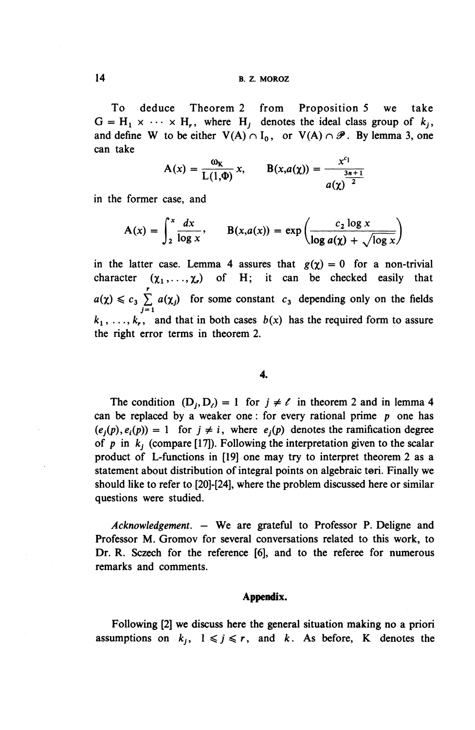To deduce Theorem 2 from Proposition 5 we take  $G = H_1 \times \cdots \times H_r$ , where  $H_i$  denotes the ideal class group of  $k_i$ , and define W to be either  $V(A) \cap I_0$ , or  $V(A) \cap \mathscr{P}$ . By lemma 3, one can take

$$
A(x) = \frac{\omega_K}{L(1,\Phi)} x
$$
,  $B(x,a(\chi)) = \frac{x^{c_1}}{a(\chi)^{\frac{3n+1}{2}}}$ 

in the former case, and

$$
A(x) = \int_2^x \frac{dx}{\log x}, \qquad B(x,a(x)) = \exp\left(\frac{c_2 \log x}{\log a(\chi) + \sqrt{\log x}}\right)
$$

in the latter case. Lemma 4 assures that  $g(\gamma) = 0$  for a non-trivial character  $(\chi_1, \ldots, \chi_r)$  of H; it can be checked easily that  $a(\chi) \leq c_3 \sum_{i=1}^r a(\chi_i)$  for some constant  $c_3$  depending only on the fields  $j=1$  $k_1, \ldots, k_r$ , and that in both cases  $b(x)$  has the required form to assure the right error terms in theorem 2.

### **4.**

The condition  $(D_i, D_j) = 1$  for  $j \neq \ell$  in theorem 2 and in lemma 4 can be replaced by a weaker one: for every rational prime *p* one has  $(e_i(p), e_i(p)) = 1$  for  $j \neq i$ , where  $e_i(p)$  denotes the ramification degree of *p* in *kj* (compare [17]). Following the interpretation given to the scalar product of L-functions in [19] one may try to interpret theorem 2 as a statement about distribution of integral points on algebraic tori. Finally we should like to refer to [20]-[24], where the problem discussed here or similar questions were studied.

*Acknowledgement. —* **We** are grateful to Professor P. Deligne and Professor M. Gromov for several conversations related to this work, to **Dr. R.** Sczech for the reference [6], and to the referee for numerous remarks and comments.

### **Appendix.**

Following [2] we discuss here the general situation making no a priori assumptions on  $k_j$ ,  $1 \leq j \leq r$ , and k. As before, K denotes the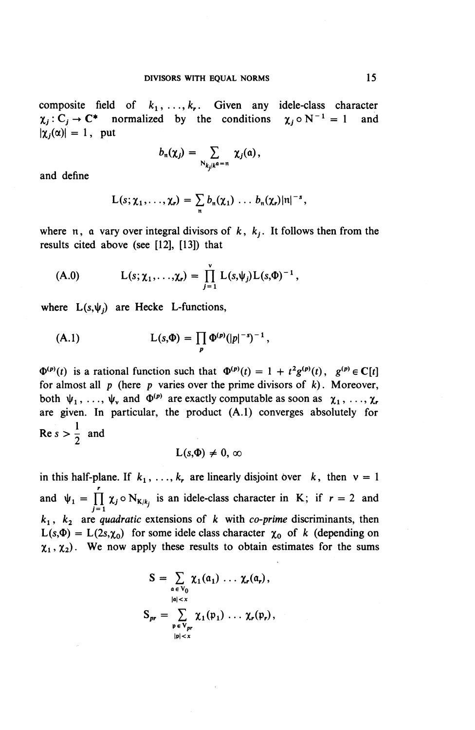composite field of  $k_1, \ldots, k_r$ . Given any idele-class character  $\chi_j : C_j \to \mathbb{C}^*$  normalized by the conditions  $\chi_j \circ N^{-1} = 1$  and  $|\chi_i(\alpha)| = 1$ , put

$$
b_{\mathfrak{n}}(\chi_j) = \sum_{\mathrm{N}_{k,j}/k^{\alpha} = \mathfrak{n}} \chi_j(\mathfrak{a}),
$$

and define

$$
L(s; \chi_1, \ldots, \chi_r) = \sum_n b_n(\chi_1) \ldots b_n(\chi_r) |n|^{-s},
$$

where  $n$ , a vary over integral divisors of  $k$ ,  $k<sub>i</sub>$ . It follows then from the results cited above (see [12], [13]) that

(A.0) 
$$
L(s; \chi_1, ..., \chi_r) = \prod_{j=1}^{\nu} L(s, \psi_j) L(s, \Phi)^{-1},
$$

where  $L(s,\psi_i)$  are Hecke L-functions,

(A.1) 
$$
L(s,\Phi) = \prod_{p} \Phi^{(p)}(|p|^{-s})^{-1},
$$

 $\Phi^{(p)}(t)$  is a rational function such that  $\Phi^{(p)}(t) = 1 + t^2 g^{(p)}(t)$ ,  $g^{(p)} \in \mathbb{C}[t]$ for almost all p (here *p* varies over the prime divisors of *k)*. Moreover, both  $\psi_1, \ldots, \psi_v$  and  $\Phi^{(p)}$  are exactly computable as soon as  $\chi_1, \ldots, \chi_r$ are given. In particular, the product (A.I) converges absolutely for  $\text{Re } s > \frac{1}{2}$  and

$$
L(s,\Phi)\neq 0,\,\infty
$$

in this half-plane. If  $k_1, \ldots, k_r$  are linearly disjoint over k, then  $v = 1$ and  $\psi_1 = \prod_{k=1}^r \chi_i \circ N_{K/k_k}$  is an idele-class character in K; if  $r = 2$  and  $j = 1$   $N_1 N_j$  $k_1$ ,  $k_2$  are *quadratic* extensions of k with *co-prime* discriminants, then  $L(s,\Phi) = L(2s,\chi_0)$  for some idele class character  $\chi_0$  of k (depending on  $\chi_1, \chi_2$ ). We now apply these results to obtain estimates for the sums

$$
S = \sum_{\substack{\mathfrak{a} \in V_0 \\ |\mathfrak{a}| < x}} \chi_1(\mathfrak{a}_1) \dots \chi_r(\mathfrak{a}_r),
$$
\n
$$
S_{pr} = \sum_{\substack{\mathfrak{p} \in V_{pr} \\ |\mathfrak{p}| < x}} \chi_1(\mathfrak{p}_1) \dots \chi_r(\mathfrak{p}_r),
$$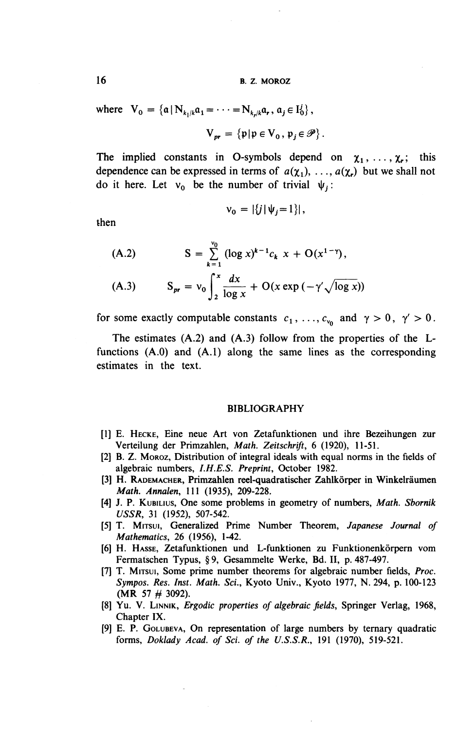16 B. Z. MOROZ

where 
$$
V_0 = {\mathbf{a} | N_{k_1/k} a_1 = \cdots = N_{k_r/k} a_r, a_j \in I_0^j}
$$
,  

$$
V_{pr} = {\mathbf{p} | p \in V_0, p_j \in \mathcal{P}}
$$
.

The implied constants in O-symbols depend on  $\chi_1, \ldots, \chi_r$ ; this dependence can be expressed in terms of  $a(\chi_1), \ldots, a(\chi_r)$  but we shall not do it here. Let  $v_0$  be the number of trivial  $\psi_i$ :

$$
v_0 = |\{j | \psi_j = 1\}|,
$$

then

(A.2) 
$$
S = \sum_{k=1}^{v_0} (\log x)^{k-1} c_k x + O(x^{1-\gamma}),
$$
  
(A.3) 
$$
S_{pr} = v_0 \int_2^x \frac{dx}{\log x} + O(x \exp(-\gamma' \sqrt{\log x}))
$$

for some exactly computable constants  $c_1, \ldots, c_{v_0}$  and  $\gamma > 0, \gamma' > 0$ .

The estimates (A.2) and (A.3) follow from the properties of the Lfunctions (A.O) and (A.I) along the same lines as the corresponding estimates in the text.

#### BIBLIOGRAPHY

- [1] E. HECKE, Eine neue Art von Zetafunktionen und ihre Bezeihungen zur Verteilung der Primzahlen, *Math. Zeitschrift, 6* (1920), 11-51.
- [2] B. Z. MOROZ, Distribution of integral ideals with equal norms in the fields of algebraic numbers, *I.H.E.S. Preprint,* October 1982.
- [3] H. RADEMACHER, Primzahlen reel-quadratischer Zahlkörper in Winkelräumen *Math. Annalen,* 111 (1935), 209-228.
- [4] J. P. KUBILIUS, One some problems in geometry of numbers. *Math. Sbornik USSR,* 31 (1952), 507-542.
- [5] T. MITSUI, Generalized Prime Number Theorem, *Japanese Journal of Mathematics,* 26 (1956), 1-42.
- [6] H. HASSE, Zetafunktionen und L-funktionen zu Funktionenkörpern vom Fermatschen Typus, § 9, Gesammelte Werke, Bd. II, p. 487-497.
- [7] T. MITSUI, Some prime number theorems for algebraic number fields, *Proc. Sympos. Res. Inst. Math. Sci.,* Kyoto Univ., Kyoto 1977, N. 294, p. 100-123 (MR 57 *#* 3092).
- [8] Yu. V. LINNIK, *Ergodic properties of algebraic fields.* Springer Verlag, 1968 Chapter IX.
- [9] E. P. GOLUBEVA, On representation of large numbers by ternary quadratic forms, *Doklady Acad. of Sci. of the U.S.S.R.,* 191 (1970), 519-521.